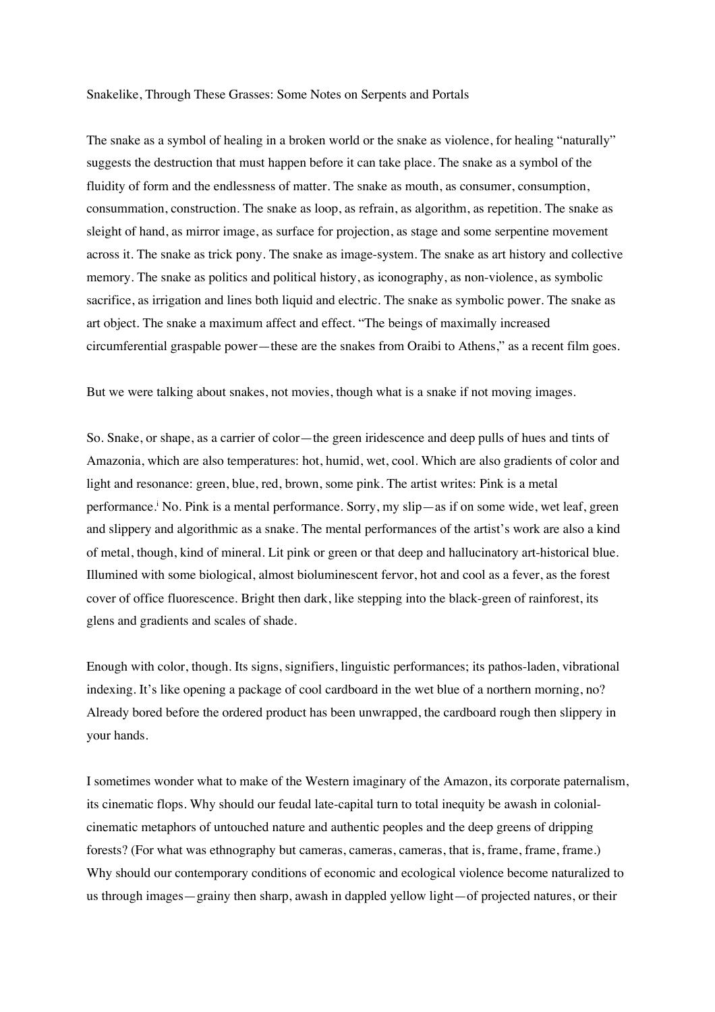## Snakelike, Through These Grasses: Some Notes on Serpents and Portals

The snake as a symbol of healing in a broken world or the snake as violence, for healing "naturally" suggests the destruction that must happen before it can take place. The snake as a symbol of the fluidity of form and the endlessness of matter. The snake as mouth, as consumer, consumption, consummation, construction. The snake as loop, as refrain, as algorithm, as repetition. The snake as sleight of hand, as mirror image, as surface for projection, as stage and some serpentine movement across it. The snake as trick pony. The snake as image-system. The snake as art history and collective memory. The snake as politics and political history, as iconography, as non-violence, as symbolic sacrifice, as irrigation and lines both liquid and electric. The snake as symbolic power. The snake as art object. The snake a maximum affect and effect. "The beings of maximally increased circumferential graspable power—these are the snakes from Oraibi to Athens," as a recent film goes.

But we were talking about snakes, not movies, though what is a snake if not moving images.

So. Snake, or shape, as a carrier of color—the green iridescence and deep pulls of hues and tints of Amazonia, which are also temperatures: hot, humid, wet, cool. Which are also gradients of color and light and resonance: green, blue, red, brown, some pink. The artist writes: Pink is a metal performance.i No. Pink is a mental performance. Sorry, my slip—as if on some wide, wet leaf, green and slippery and algorithmic as a snake. The mental performances of the artist's work are also a kind of metal, though, kind of mineral. Lit pink or green or that deep and hallucinatory art-historical blue. Illumined with some biological, almost bioluminescent fervor, hot and cool as a fever, as the forest cover of office fluorescence. Bright then dark, like stepping into the black-green of rainforest, its glens and gradients and scales of shade.

Enough with color, though. Its signs, signifiers, linguistic performances; its pathos-laden, vibrational indexing. It's like opening a package of cool cardboard in the wet blue of a northern morning, no? Already bored before the ordered product has been unwrapped, the cardboard rough then slippery in your hands.

I sometimes wonder what to make of the Western imaginary of the Amazon, its corporate paternalism, its cinematic flops. Why should our feudal late-capital turn to total inequity be awash in colonialcinematic metaphors of untouched nature and authentic peoples and the deep greens of dripping forests? (For what was ethnography but cameras, cameras, cameras, that is, frame, frame, frame.) Why should our contemporary conditions of economic and ecological violence become naturalized to us through images—grainy then sharp, awash in dappled yellow light—of projected natures, or their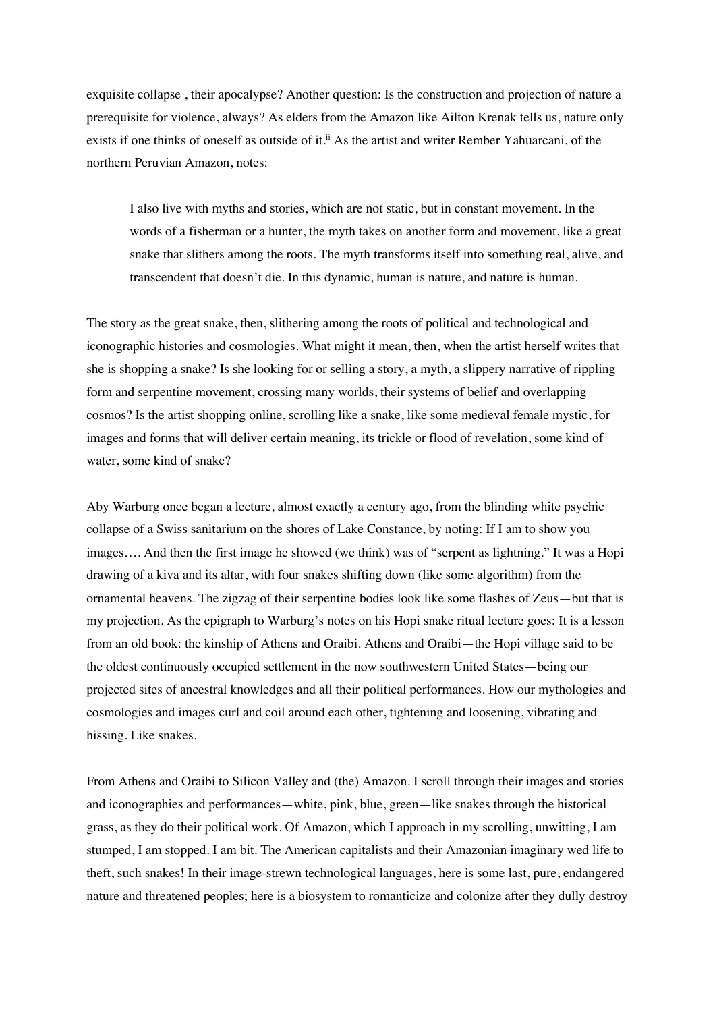exquisite collapse , their apocalypse? Another question: Is the construction and projection of nature a prerequisite for violence, always? As elders from the Amazon like Ailton Krenak tells us, nature only exists if one thinks of oneself as outside of it.<sup>ii</sup> As the artist and writer Rember Yahuarcani, of the northern Peruvian Amazon, notes:

I also live with myths and stories, which are not static, but in constant movement. In the words of a fisherman or a hunter, the myth takes on another form and movement, like a great snake that slithers among the roots. The myth transforms itself into something real, alive, and transcendent that doesn't die. In this dynamic, human is nature, and nature is human.

The story as the great snake, then, slithering among the roots of political and technological and iconographic histories and cosmologies. What might it mean, then, when the artist herself writes that she is shopping a snake? Is she looking for or selling a story, a myth, a slippery narrative of rippling form and serpentine movement, crossing many worlds, their systems of belief and overlapping cosmos? Is the artist shopping online, scrolling like a snake, like some medieval female mystic, for images and forms that will deliver certain meaning, its trickle or flood of revelation, some kind of water, some kind of snake?

Aby Warburg once began a lecture, almost exactly a century ago, from the blinding white psychic collapse of a Swiss sanitarium on the shores of Lake Constance, by noting: If I am to show you images…. And then the first image he showed (we think) was of "serpent as lightning." It was a Hopi drawing of a kiva and its altar, with four snakes shifting down (like some algorithm) from the ornamental heavens. The zigzag of their serpentine bodies look like some flashes of Zeus—but that is my projection. As the epigraph to Warburg's notes on his Hopi snake ritual lecture goes: It is a lesson from an old book: the kinship of Athens and Oraibi. Athens and Oraibi—the Hopi village said to be the oldest continuously occupied settlement in the now southwestern United States—being our projected sites of ancestral knowledges and all their political performances. How our mythologies and cosmologies and images curl and coil around each other, tightening and loosening, vibrating and hissing. Like snakes.

From Athens and Oraibi to Silicon Valley and (the) Amazon. I scroll through their images and stories and iconographies and performances—white, pink, blue, green—like snakes through the historical grass, as they do their political work. Of Amazon, which I approach in my scrolling, unwitting, I am stumped, I am stopped. I am bit. The American capitalists and their Amazonian imaginary wed life to theft, such snakes! In their image-strewn technological languages, here is some last, pure, endangered nature and threatened peoples; here is a biosystem to romanticize and colonize after they dully destroy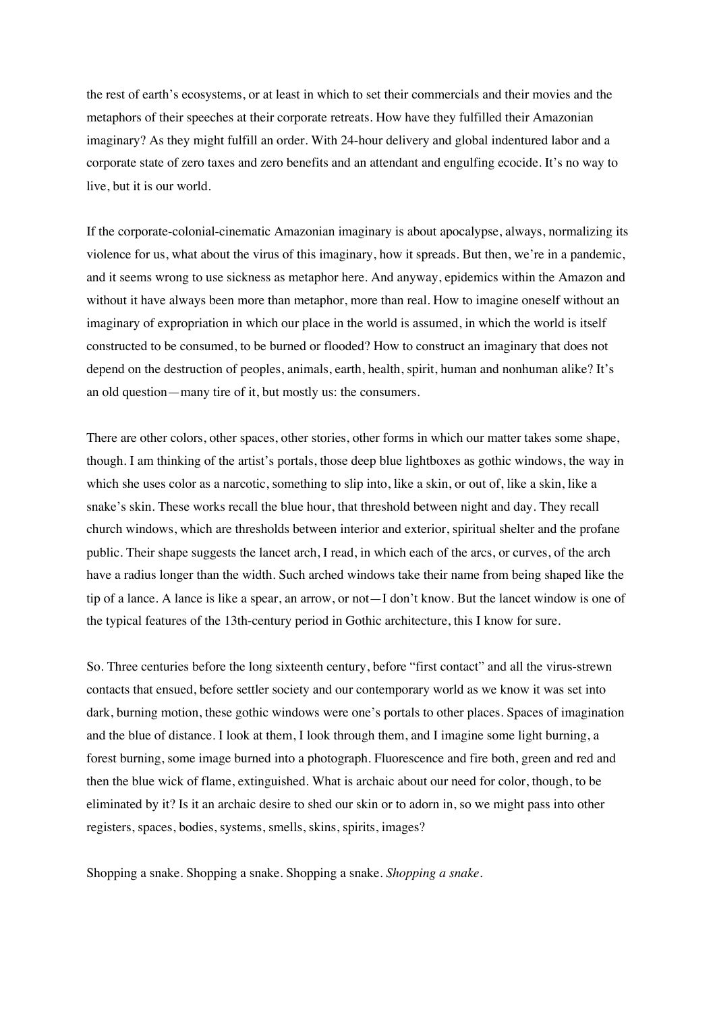the rest of earth's ecosystems, or at least in which to set their commercials and their movies and the metaphors of their speeches at their corporate retreats. How have they fulfilled their Amazonian imaginary? As they might fulfill an order. With 24-hour delivery and global indentured labor and a corporate state of zero taxes and zero benefits and an attendant and engulfing ecocide. It's no way to live, but it is our world.

If the corporate-colonial-cinematic Amazonian imaginary is about apocalypse, always, normalizing its violence for us, what about the virus of this imaginary, how it spreads. But then, we're in a pandemic, and it seems wrong to use sickness as metaphor here. And anyway, epidemics within the Amazon and without it have always been more than metaphor, more than real. How to imagine oneself without an imaginary of expropriation in which our place in the world is assumed, in which the world is itself constructed to be consumed, to be burned or flooded? How to construct an imaginary that does not depend on the destruction of peoples, animals, earth, health, spirit, human and nonhuman alike? It's an old question—many tire of it, but mostly us: the consumers.

There are other colors, other spaces, other stories, other forms in which our matter takes some shape, though. I am thinking of the artist's portals, those deep blue lightboxes as gothic windows, the way in which she uses color as a narcotic, something to slip into, like a skin, or out of, like a skin, like a snake's skin. These works recall the blue hour, that threshold between night and day. They recall church windows, which are thresholds between interior and exterior, spiritual shelter and the profane public. Their shape suggests the lancet arch, I read, in which each of the arcs, or curves, of the arch have a radius longer than the width. Such arched windows take their name from being shaped like the tip of a lance. A lance is like a spear, an arrow, or not—I don't know. But the lancet window is one of the typical features of the 13th-century period in Gothic architecture, this I know for sure.

So. Three centuries before the long sixteenth century, before "first contact" and all the virus-strewn contacts that ensued, before settler society and our contemporary world as we know it was set into dark, burning motion, these gothic windows were one's portals to other places. Spaces of imagination and the blue of distance. I look at them, I look through them, and I imagine some light burning, a forest burning, some image burned into a photograph. Fluorescence and fire both, green and red and then the blue wick of flame, extinguished. What is archaic about our need for color, though, to be eliminated by it? Is it an archaic desire to shed our skin or to adorn in, so we might pass into other registers, spaces, bodies, systems, smells, skins, spirits, images?

Shopping a snake. Shopping a snake. Shopping a snake. *Shopping a snake.*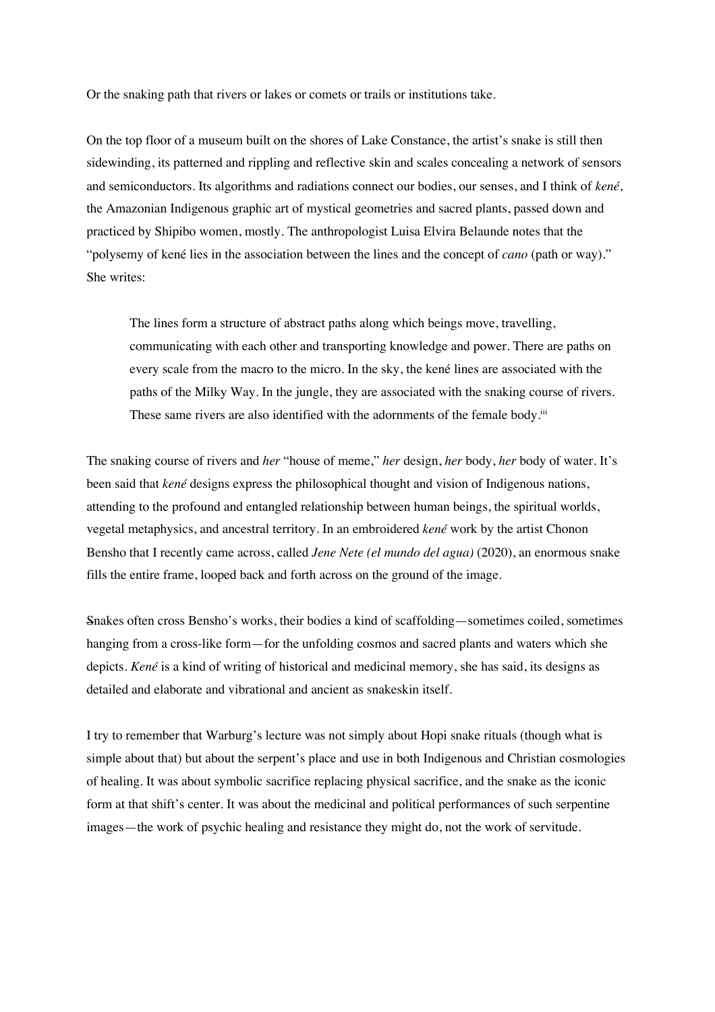Or the snaking path that rivers or lakes or comets or trails or institutions take.

On the top floor of a museum built on the shores of Lake Constance, the artist's snake is still then sidewinding, its patterned and rippling and reflective skin and scales concealing a network of sensors and semiconductors. Its algorithms and radiations connect our bodies, our senses, and I think of *kené*, the Amazonian Indigenous graphic art of mystical geometries and sacred plants, passed down and practiced by Shipibo women, mostly. The anthropologist Luisa Elvira Belaunde notes that the "polysemy of kené lies in the association between the lines and the concept of *cano* (path or way)." She writes:

The lines form a structure of abstract paths along which beings move, travelling, communicating with each other and transporting knowledge and power. There are paths on every scale from the macro to the micro. In the sky, the kené lines are associated with the paths of the Milky Way. In the jungle, they are associated with the snaking course of rivers. These same rivers are also identified with the adornments of the female body.iii

The snaking course of rivers and *her* "house of meme," *her* design, *her* body, *her* body of water. It's been said that *kené* designs express the philosophical thought and vision of Indigenous nations, attending to the profound and entangled relationship between human beings, the spiritual worlds, vegetal metaphysics, and ancestral territory. In an embroidered *kené* work by the artist Chonon Bensho that I recently came across, called *Jene Nete (el mundo del agua)* (2020), an enormous snake fills the entire frame, looped back and forth across on the ground of the image.

Snakes often cross Bensho's works, their bodies a kind of scaffolding—sometimes coiled, sometimes hanging from a cross-like form—for the unfolding cosmos and sacred plants and waters which she depicts. *Kené* is a kind of writing of historical and medicinal memory, she has said, its designs as detailed and elaborate and vibrational and ancient as snakeskin itself.

I try to remember that Warburg's lecture was not simply about Hopi snake rituals (though what is simple about that) but about the serpent's place and use in both Indigenous and Christian cosmologies of healing. It was about symbolic sacrifice replacing physical sacrifice, and the snake as the iconic form at that shift's center. It was about the medicinal and political performances of such serpentine images—the work of psychic healing and resistance they might do, not the work of servitude.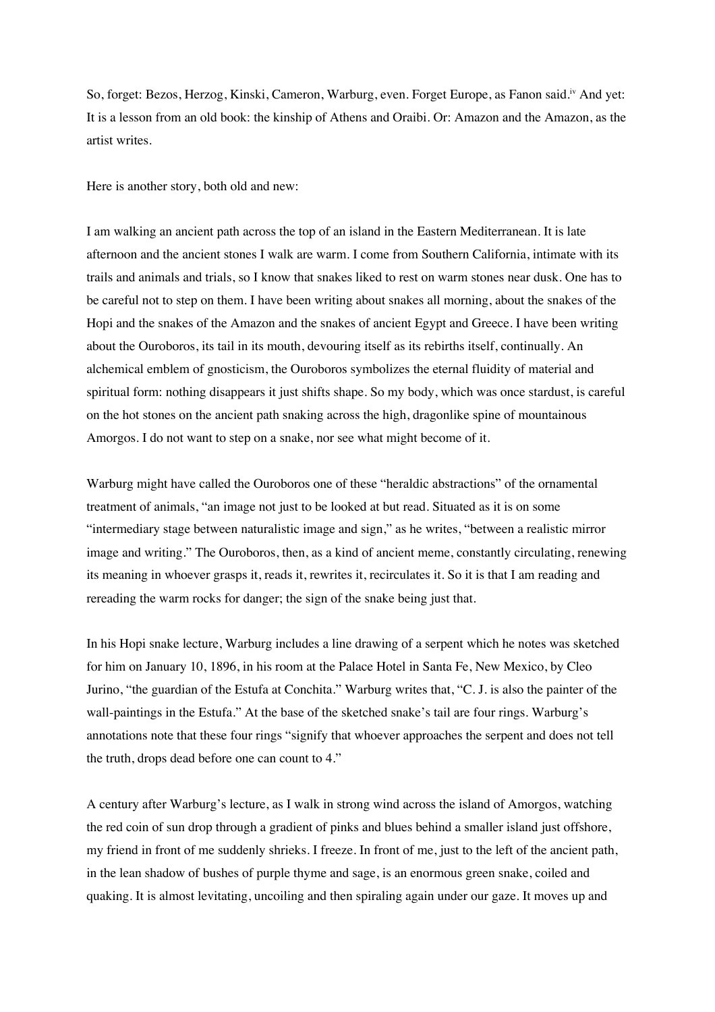So, forget: Bezos, Herzog, Kinski, Cameron, Warburg, even. Forget Europe, as Fanon said.iv And yet: It is a lesson from an old book: the kinship of Athens and Oraibi. Or: Amazon and the Amazon, as the artist writes.

Here is another story, both old and new:

I am walking an ancient path across the top of an island in the Eastern Mediterranean. It is late afternoon and the ancient stones I walk are warm. I come from Southern California, intimate with its trails and animals and trials, so I know that snakes liked to rest on warm stones near dusk. One has to be careful not to step on them. I have been writing about snakes all morning, about the snakes of the Hopi and the snakes of the Amazon and the snakes of ancient Egypt and Greece. I have been writing about the Ouroboros, its tail in its mouth, devouring itself as its rebirths itself, continually. An alchemical emblem of gnosticism, the Ouroboros symbolizes the eternal fluidity of material and spiritual form: nothing disappears it just shifts shape. So my body, which was once stardust, is careful on the hot stones on the ancient path snaking across the high, dragonlike spine of mountainous Amorgos. I do not want to step on a snake, nor see what might become of it.

Warburg might have called the Ouroboros one of these "heraldic abstractions" of the ornamental treatment of animals, "an image not just to be looked at but read. Situated as it is on some "intermediary stage between naturalistic image and sign," as he writes, "between a realistic mirror image and writing." The Ouroboros, then, as a kind of ancient meme, constantly circulating, renewing its meaning in whoever grasps it, reads it, rewrites it, recirculates it. So it is that I am reading and rereading the warm rocks for danger; the sign of the snake being just that.

In his Hopi snake lecture, Warburg includes a line drawing of a serpent which he notes was sketched for him on January 10, 1896, in his room at the Palace Hotel in Santa Fe, New Mexico, by Cleo Jurino, "the guardian of the Estufa at Conchita." Warburg writes that, "C. J. is also the painter of the wall-paintings in the Estufa." At the base of the sketched snake's tail are four rings. Warburg's annotations note that these four rings "signify that whoever approaches the serpent and does not tell the truth, drops dead before one can count to 4."

A century after Warburg's lecture, as I walk in strong wind across the island of Amorgos, watching the red coin of sun drop through a gradient of pinks and blues behind a smaller island just offshore, my friend in front of me suddenly shrieks. I freeze. In front of me, just to the left of the ancient path, in the lean shadow of bushes of purple thyme and sage, is an enormous green snake, coiled and quaking. It is almost levitating, uncoiling and then spiraling again under our gaze. It moves up and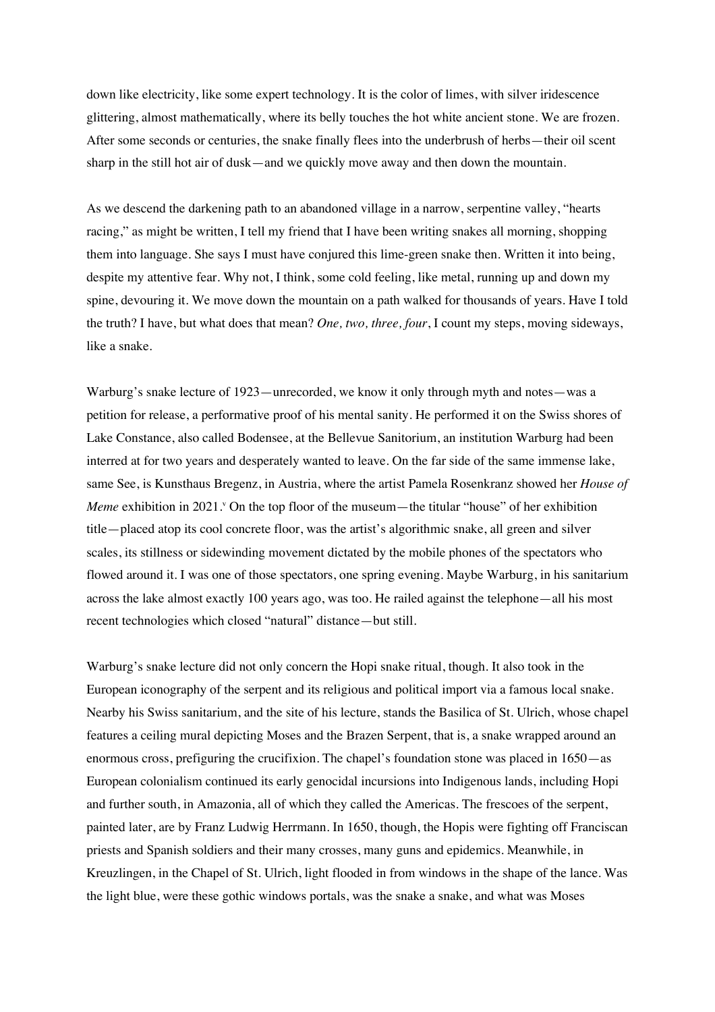down like electricity, like some expert technology. It is the color of limes, with silver iridescence glittering, almost mathematically, where its belly touches the hot white ancient stone. We are frozen. After some seconds or centuries, the snake finally flees into the underbrush of herbs—their oil scent sharp in the still hot air of dusk—and we quickly move away and then down the mountain.

As we descend the darkening path to an abandoned village in a narrow, serpentine valley, "hearts racing," as might be written, I tell my friend that I have been writing snakes all morning, shopping them into language. She says I must have conjured this lime-green snake then. Written it into being, despite my attentive fear. Why not, I think, some cold feeling, like metal, running up and down my spine, devouring it. We move down the mountain on a path walked for thousands of years. Have I told the truth? I have, but what does that mean? *One, two, three, four*, I count my steps, moving sideways, like a snake.

Warburg's snake lecture of 1923—unrecorded, we know it only through myth and notes—was a petition for release, a performative proof of his mental sanity. He performed it on the Swiss shores of Lake Constance, also called Bodensee, at the Bellevue Sanitorium, an institution Warburg had been interred at for two years and desperately wanted to leave. On the far side of the same immense lake, same See, is Kunsthaus Bregenz, in Austria, where the artist Pamela Rosenkranz showed her *House of Meme* exhibition in 2021. <sup>o</sup> On the top floor of the museum—the titular "house" of her exhibition title—placed atop its cool concrete floor, was the artist's algorithmic snake, all green and silver scales, its stillness or sidewinding movement dictated by the mobile phones of the spectators who flowed around it. I was one of those spectators, one spring evening. Maybe Warburg, in his sanitarium across the lake almost exactly 100 years ago, was too. He railed against the telephone—all his most recent technologies which closed "natural" distance—but still.

Warburg's snake lecture did not only concern the Hopi snake ritual, though. It also took in the European iconography of the serpent and its religious and political import via a famous local snake. Nearby his Swiss sanitarium, and the site of his lecture, stands the Basilica of St. Ulrich, whose chapel features a ceiling mural depicting Moses and the Brazen Serpent, that is, a snake wrapped around an enormous cross, prefiguring the crucifixion. The chapel's foundation stone was placed in 1650—as European colonialism continued its early genocidal incursions into Indigenous lands, including Hopi and further south, in Amazonia, all of which they called the Americas. The frescoes of the serpent, painted later, are by Franz Ludwig Herrmann. In 1650, though, the Hopis were fighting off Franciscan priests and Spanish soldiers and their many crosses, many guns and epidemics. Meanwhile, in Kreuzlingen, in the Chapel of St. Ulrich, light flooded in from windows in the shape of the lance. Was the light blue, were these gothic windows portals, was the snake a snake, and what was Moses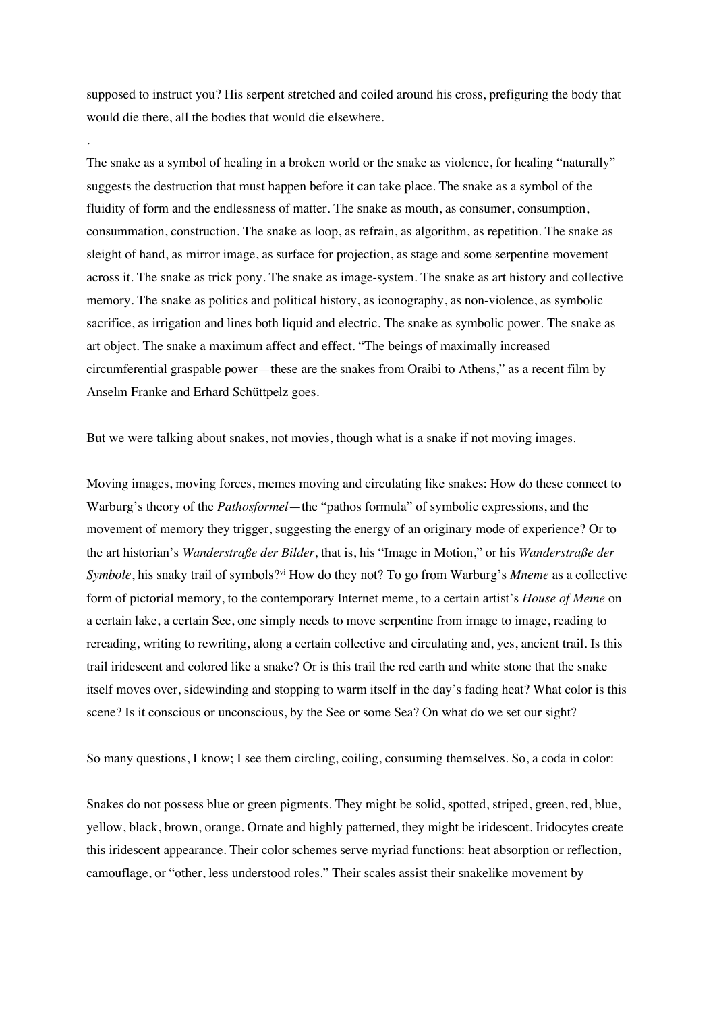supposed to instruct you? His serpent stretched and coiled around his cross, prefiguring the body that would die there, all the bodies that would die elsewhere.

.

The snake as a symbol of healing in a broken world or the snake as violence, for healing "naturally" suggests the destruction that must happen before it can take place. The snake as a symbol of the fluidity of form and the endlessness of matter. The snake as mouth, as consumer, consumption, consummation, construction. The snake as loop, as refrain, as algorithm, as repetition. The snake as sleight of hand, as mirror image, as surface for projection, as stage and some serpentine movement across it. The snake as trick pony. The snake as image-system. The snake as art history and collective memory. The snake as politics and political history, as iconography, as non-violence, as symbolic sacrifice, as irrigation and lines both liquid and electric. The snake as symbolic power. The snake as art object. The snake a maximum affect and effect. "The beings of maximally increased circumferential graspable power—these are the snakes from Oraibi to Athens," as a recent film by Anselm Franke and Erhard Schüttpelz goes.

But we were talking about snakes, not movies, though what is a snake if not moving images.

Moving images, moving forces, memes moving and circulating like snakes: How do these connect to Warburg's theory of the *Pathosformel*—the "pathos formula" of symbolic expressions, and the movement of memory they trigger, suggesting the energy of an originary mode of experience? Or to the art historian's *Wanderstraße der Bilder*, that is, his "Image in Motion," or his *Wanderstraße der Symbole*, his snaky trail of symbols?<sup>vi</sup> How do they not? To go from Warburg's *Mneme* as a collective form of pictorial memory, to the contemporary Internet meme, to a certain artist's *House of Meme* on a certain lake, a certain See, one simply needs to move serpentine from image to image, reading to rereading, writing to rewriting, along a certain collective and circulating and, yes, ancient trail. Is this trail iridescent and colored like a snake? Or is this trail the red earth and white stone that the snake itself moves over, sidewinding and stopping to warm itself in the day's fading heat? What color is this scene? Is it conscious or unconscious, by the See or some Sea? On what do we set our sight?

So many questions, I know; I see them circling, coiling, consuming themselves. So, a coda in color:

Snakes do not possess blue or green pigments. They might be solid, spotted, striped, green, red, blue, yellow, black, brown, orange. Ornate and highly patterned, they might be iridescent. Iridocytes create this iridescent appearance. Their color schemes serve myriad functions: heat absorption or reflection, camouflage, or "other, less understood roles." Their scales assist their snakelike movement by